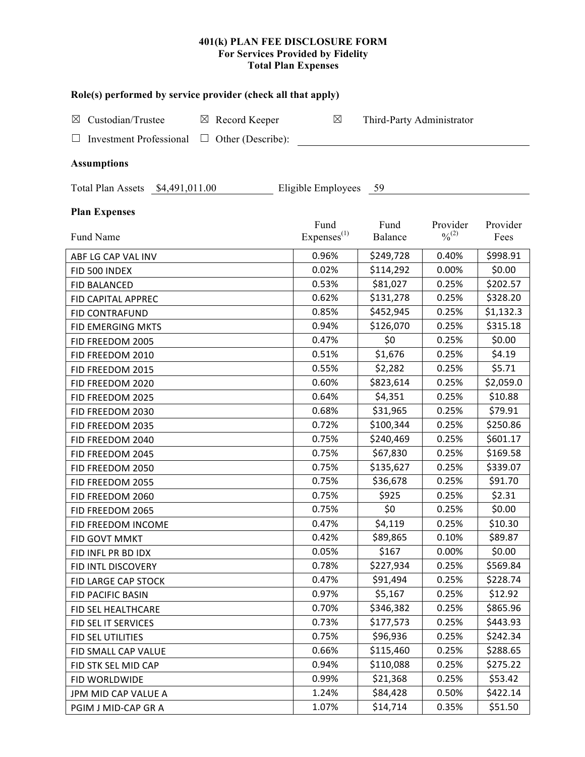## **401(k) PLAN FEE DISCLOSURE FORM For Services Provided by Fidelity Total Plan Expenses**

| Role(s) performed by service provider (check all that apply)  |                        |           |                              |           |  |  |
|---------------------------------------------------------------|------------------------|-----------|------------------------------|-----------|--|--|
| Custodian/Trustee<br>$\boxtimes$ Record Keeper<br>$\boxtimes$ | $\boxtimes$            |           | Third-Party Administrator    |           |  |  |
| $\Box$ Other (Describe):                                      |                        |           |                              |           |  |  |
| <b>Investment Professional</b>                                |                        |           |                              |           |  |  |
| <b>Assumptions</b>                                            |                        |           |                              |           |  |  |
| Total Plan Assets \$4,491,011.00                              | Eligible Employees 59  |           |                              |           |  |  |
| <b>Plan Expenses</b>                                          |                        |           |                              |           |  |  |
|                                                               | Fund                   | Fund      | Provider                     | Provider  |  |  |
| Fund Name                                                     | Express <sup>(1)</sup> | Balance   | $\frac{0}{2}$ <sup>(2)</sup> | Fees      |  |  |
| ABF LG CAP VAL INV                                            | 0.96%                  | \$249,728 | 0.40%                        | \$998.91  |  |  |
| FID 500 INDEX                                                 | 0.02%                  | \$114,292 | 0.00%                        | \$0.00    |  |  |
| <b>FID BALANCED</b>                                           | 0.53%                  | \$81,027  | 0.25%                        | \$202.57  |  |  |
| FID CAPITAL APPREC                                            | 0.62%                  | \$131,278 | 0.25%                        | \$328.20  |  |  |
| <b>FID CONTRAFUND</b>                                         | 0.85%                  | \$452,945 | 0.25%                        | \$1,132.3 |  |  |
| FID EMERGING MKTS                                             | 0.94%                  | \$126,070 | 0.25%                        | \$315.18  |  |  |
| FID FREEDOM 2005                                              | 0.47%                  | \$0       | 0.25%                        | \$0.00    |  |  |
| FID FREEDOM 2010                                              | 0.51%                  | \$1,676   | 0.25%                        | \$4.19    |  |  |
| FID FREEDOM 2015                                              | 0.55%                  | \$2,282   | 0.25%                        | \$5.71    |  |  |
| FID FREEDOM 2020                                              | 0.60%                  | \$823,614 | 0.25%                        | \$2,059.0 |  |  |
| FID FREEDOM 2025                                              | 0.64%                  | \$4,351   | 0.25%                        | \$10.88   |  |  |
| FID FREEDOM 2030                                              | 0.68%                  | \$31,965  | 0.25%                        | \$79.91   |  |  |
| FID FREEDOM 2035                                              | 0.72%                  | \$100,344 | 0.25%                        | \$250.86  |  |  |
| FID FREEDOM 2040                                              | 0.75%                  | \$240,469 | 0.25%                        | \$601.17  |  |  |
| FID FREEDOM 2045                                              | 0.75%                  | \$67,830  | 0.25%                        | \$169.58  |  |  |
| FID FREEDOM 2050                                              | 0.75%                  | \$135,627 | 0.25%                        | \$339.07  |  |  |
| FID FREEDOM 2055                                              | 0.75%                  | \$36,678  | 0.25%                        | \$91.70   |  |  |
| FID FREEDOM 2060                                              | 0.75%                  | \$925     | 0.25%                        | \$2.31    |  |  |
| FID FREEDOM 2065                                              | 0.75%                  | \$0       | 0.25%                        | \$0.00    |  |  |
| FID FREEDOM INCOME                                            | 0.47%                  | \$4,119   | 0.25%                        | \$10.30   |  |  |
| FID GOVT MMKT                                                 | 0.42%                  | \$89,865  | 0.10%                        | \$89.87   |  |  |
| FID INFL PR BD IDX                                            | 0.05%                  | \$167     | 0.00%                        | \$0.00    |  |  |
| FID INTL DISCOVERY                                            | 0.78%                  | \$227,934 | 0.25%                        | \$569.84  |  |  |
| FID LARGE CAP STOCK                                           | 0.47%                  | \$91,494  | 0.25%                        | \$228.74  |  |  |
| FID PACIFIC BASIN                                             | 0.97%                  | \$5,167   | 0.25%                        | \$12.92   |  |  |
| FID SEL HEALTHCARE                                            | 0.70%                  | \$346,382 | 0.25%                        | \$865.96  |  |  |
| FID SEL IT SERVICES                                           | 0.73%                  | \$177,573 | 0.25%                        | \$443.93  |  |  |
| FID SEL UTILITIES                                             | 0.75%                  | \$96,936  | 0.25%                        | \$242.34  |  |  |
| FID SMALL CAP VALUE                                           | 0.66%                  | \$115,460 | 0.25%                        | \$288.65  |  |  |
| FID STK SEL MID CAP                                           | 0.94%                  | \$110,088 | 0.25%                        | \$275.22  |  |  |
| FID WORLDWIDE                                                 | 0.99%                  | \$21,368  | 0.25%                        | \$53.42   |  |  |
| JPM MID CAP VALUE A                                           | 1.24%                  | \$84,428  | 0.50%                        | \$422.14  |  |  |
| PGIM J MID-CAP GR A                                           | 1.07%                  | \$14,714  | 0.35%                        | \$51.50   |  |  |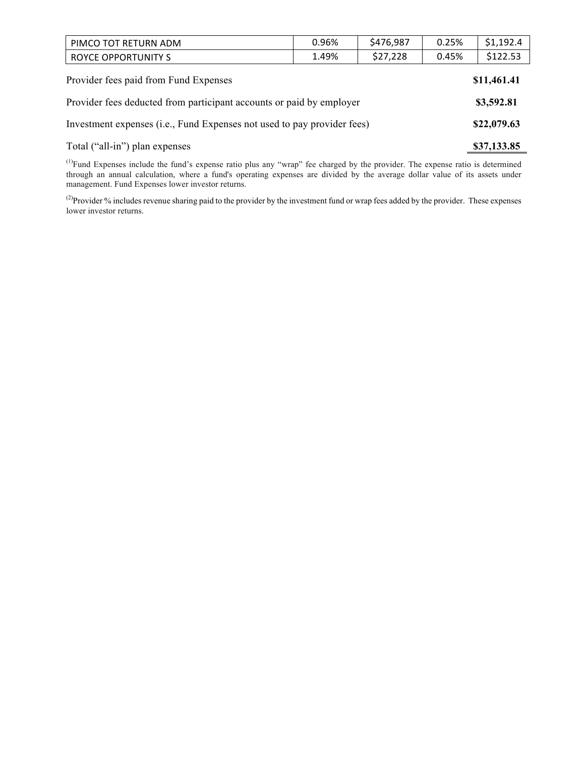| PIMCO TOT RETURN ADM                                                    | 0.96% | \$476,987 | 0.25% | \$1,192.4   |  |
|-------------------------------------------------------------------------|-------|-----------|-------|-------------|--|
| <b>ROYCE OPPORTUNITY S</b>                                              | 1.49% | \$27,228  | 0.45% | \$122.53    |  |
| Provider fees paid from Fund Expenses<br>\$11,461.41                    |       |           |       |             |  |
| Provider fees deducted from participant accounts or paid by employer    |       |           |       |             |  |
| Investment expenses (i.e., Fund Expenses not used to pay provider fees) |       |           |       | \$22,079.63 |  |

# Total ("all-in") plan expenses **\$37,133.85**

 $<sup>(1)</sup>Fund Expresses include the fund's expense ratio plus any "wrap" fee charged by the provider. The expense ratio is determined$ </sup> through an annual calculation, where a fund's operating expenses are divided by the average dollar value of its assets under management. Fund Expenses lower investor returns.

<sup>(2)</sup>Provider % includes revenue sharing paid to the provider by the investment fund or wrap fees added by the provider. These expenses lower investor returns.